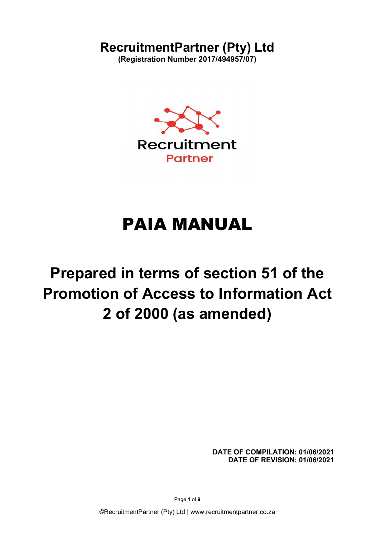# RecruitmentPartner (Pty) Ltd

(Registration Number 2017/494957/07)



# PAIA MANUAL

# Prepared in terms of section 51 of the Promotion of Access to Information Act 2 of 2000 (as amended)

DATE OF COMPILATION: 01/06/2021 DATE OF REVISION: 01/06/2021

Page 1 of 9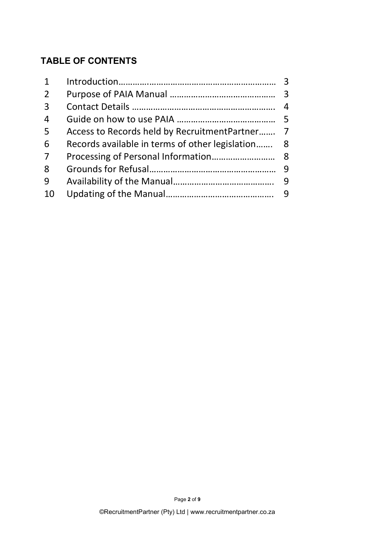# TABLE OF CONTENTS

| 2               |                                                   |  |
|-----------------|---------------------------------------------------|--|
| $\overline{3}$  |                                                   |  |
| $\overline{4}$  |                                                   |  |
| 5               | Access to Records held by RecruitmentPartner 7    |  |
| 6               | Records available in terms of other legislation 8 |  |
| $7\overline{ }$ |                                                   |  |
| 8               |                                                   |  |
| 9               |                                                   |  |
| 10              |                                                   |  |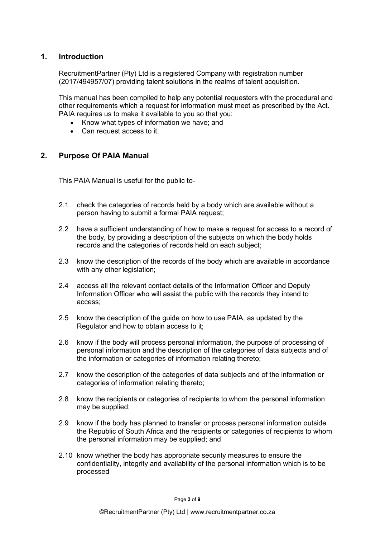### 1. Introduction

RecruitmentPartner (Pty) Ltd is a registered Company with registration number (2017/494957/07) providing talent solutions in the realms of talent acquisition.

This manual has been compiled to help any potential requesters with the procedural and other requirements which a request for information must meet as prescribed by the Act. PAIA requires us to make it available to you so that you:

- Know what types of information we have; and
- Can request access to it.

### 2. Purpose Of PAIA Manual

This PAIA Manual is useful for the public to-

- 2.1 check the categories of records held by a body which are available without a person having to submit a formal PAIA request;
- 2.2 have a sufficient understanding of how to make a request for access to a record of the body, by providing a description of the subjects on which the body holds records and the categories of records held on each subject;
- 2.3 know the description of the records of the body which are available in accordance with any other legislation;
- 2.4 access all the relevant contact details of the Information Officer and Deputy Information Officer who will assist the public with the records they intend to access;
- 2.5 know the description of the guide on how to use PAIA, as updated by the Regulator and how to obtain access to it;
- 2.6 know if the body will process personal information, the purpose of processing of personal information and the description of the categories of data subjects and of the information or categories of information relating thereto;
- 2.7 know the description of the categories of data subjects and of the information or categories of information relating thereto;
- 2.8 know the recipients or categories of recipients to whom the personal information may be supplied;
- 2.9 know if the body has planned to transfer or process personal information outside the Republic of South Africa and the recipients or categories of recipients to whom the personal information may be supplied; and
- 2.10 know whether the body has appropriate security measures to ensure the confidentiality, integrity and availability of the personal information which is to be processed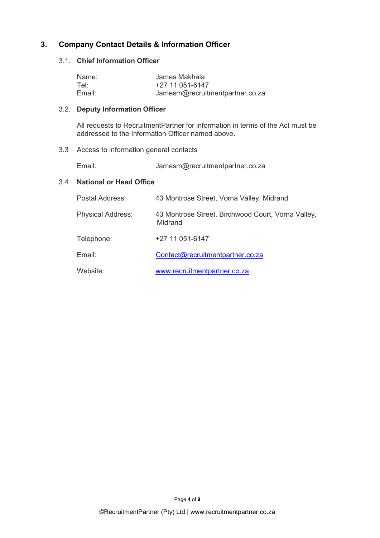### 3.1. Chief Information Officer

| 3. | <b>Company Contact Details &amp; Information Officer</b> |                                 |
|----|----------------------------------------------------------|---------------------------------|
|    | 3.1. Chief Information Officer                           |                                 |
|    | Name:                                                    | James Makhala                   |
|    | Tel:<br>Email:                                           | +27 11 051-6147                 |
|    |                                                          | Jamesm@recruitmentpartner.co.za |

### 3.2. Deputy Information Officer

All requests to RecruitmentPartner for information in terms of the Act must be addressed to the Information Officer named above.

### 3.3 Access to information general contacts

Email: Jamesm@recruitmentpartner.co.za

### 3.4 National or Head Office

| Postal Address:          | 43 Montrose Street, Vorna Valley, Midrand                     |
|--------------------------|---------------------------------------------------------------|
| <b>Physical Address:</b> | 43 Montrose Street, Birchwood Court, Vorna Valley,<br>Midrand |
| Telephone:               | +27 11 051-6147                                               |
| Email:                   | Contact@recruitmentpartner.co.za                              |
| Website:                 | www.recruitmentpartner.co.za                                  |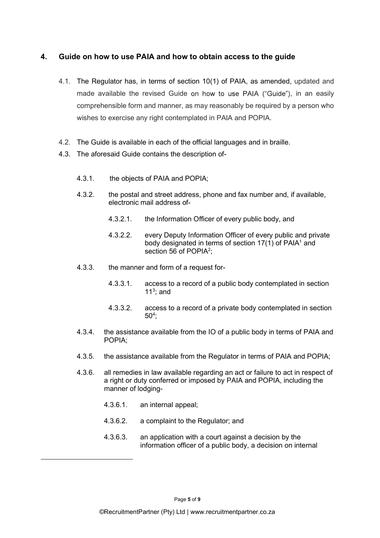### 4. Guide on how to use PAIA and how to obtain access to the guide

- 4.1. The Regulator has, in terms of section 10(1) of PAIA, as amended, updated and made available the revised Guide on how to use PAIA ("Guide"), in an easily comprehensible form and manner, as may reasonably be required by a person who wishes to exercise any right contemplated in PAIA and POPIA.
- 4.2. The Guide is available in each of the official languages and in braille.
- 4.3. The aforesaid Guide contains the description of-
	- 4.3.1. the objects of PAIA and POPIA;
	- 4.3.2. the postal and street address, phone and fax number and, if available, electronic mail address of-
		- 4.3.2.1. the Information Officer of every public body, and
		- 4.3.2.2. every Deputy Information Officer of every public and private body designated in terms of section 17(1) of PAIA $^{\rm 1}$  and section 56 of POPIA<sup>2</sup>:  $\frac{1}{2}$ ;
	- 4.3.3. the manner and form of a request for-
		- 4.3.3.1. access to a record of a public body contemplated in section  $11<sup>3</sup>$ ; and  $11<sup>3</sup>$
		- 4.3.3.2. access to a record of a private body contemplated in section  $50<sup>4</sup>$ ; ;<br>;
	- 4.3.4. the assistance available from the IO of a public body in terms of PAIA and POPIA;
	- 4.3.5. the assistance available from the Regulator in terms of PAIA and POPIA;
	- 4.3.6. all remedies in law available regarding an act or failure to act in respect of a right or duty conferred or imposed by PAIA and POPIA, including the manner of lodging-
		- 4.3.6.1. an internal appeal;
		- 4.3.6.2. a complaint to the Regulator; and
		- 4.3.6.3. an application with a court against a decision by the information officer of a public body, a decision on internal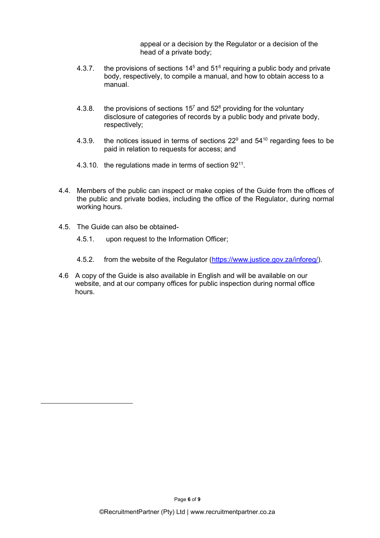appeal or a decision by the Regulator or a decision of the head of a private body;

- 4.3.7. the provisions of sections 14<sup>5</sup> and 51<sup>6</sup> requiring a public body and private body, respectively, to compile a manual, and how to obtain access to a manual.
- 4.3.8. the provisions of sections 15<sup>7</sup> and 52<sup>8</sup> providing for the voluntary disclosure of categories of records by a public body and private body, respectively;
- 4.3.9.  $\;$  the notices issued in terms of sections 22 $^9$  and 54 $^{10}$  regarding fees to be paid in relation to requests for access; and
- 4.3.10. the regulations made in terms of section  $92^{11}$ .
- . 4.4. Members of the public can inspect or make copies of the Guide from the offices of the public and private bodies, including the office of the Regulator, during normal working hours.
- 4.5. The Guide can also be obtained-
	- 4.5.1. upon request to the Information Officer;
	- 4.5.2. from the website of the Regulator (https://www.justice.gov.za/inforeg/).
- 4.6 A copy of the Guide is also available in English and will be available on our website, and at our company offices for public inspection during normal office hours.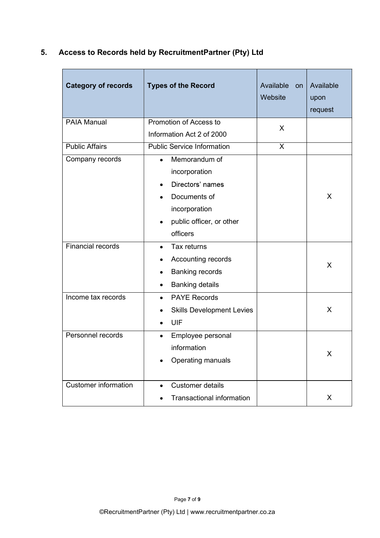## 5. Access to Records held by RecruitmentPartner (Pty) Ltd

| <b>Category of records</b>  | <b>Types of the Record</b>        | Available<br>on<br>Website | Available<br>upon<br>request |
|-----------------------------|-----------------------------------|----------------------------|------------------------------|
| <b>PAIA Manual</b>          | Promotion of Access to            | $\sf X$                    |                              |
|                             | Information Act 2 of 2000         |                            |                              |
| <b>Public Affairs</b>       | <b>Public Service Information</b> | X                          |                              |
| Company records             | Memorandum of<br>$\bullet$        |                            |                              |
|                             | incorporation                     |                            |                              |
|                             | Directors' names<br>٠             |                            |                              |
|                             | Documents of                      |                            | X                            |
|                             | incorporation                     |                            |                              |
|                             | public officer, or other          |                            |                              |
|                             | officers                          |                            |                              |
| <b>Financial records</b>    | Tax returns<br>$\bullet$          |                            |                              |
|                             | Accounting records                |                            | X                            |
|                             | <b>Banking records</b>            |                            |                              |
|                             | <b>Banking details</b><br>٠       |                            |                              |
| Income tax records          | <b>PAYE Records</b><br>$\bullet$  |                            |                              |
|                             | <b>Skills Development Levies</b>  |                            | X                            |
|                             | UIF<br>٠                          |                            |                              |
| Personnel records           | Employee personal<br>$\bullet$    |                            |                              |
|                             | information                       |                            | X                            |
|                             | Operating manuals                 |                            |                              |
|                             |                                   |                            |                              |
| <b>Customer information</b> | Customer details<br>$\bullet$     |                            |                              |
|                             | <b>Transactional information</b>  |                            | X                            |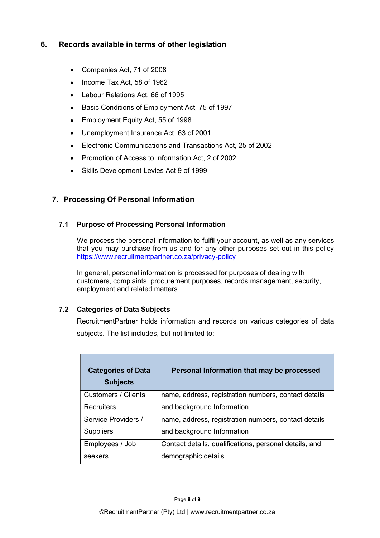# 6. Records available in terms of other legislation<br>● Companies Act, 71 of 2008<br>● Income Tax Act, 58 of 1962

- Companies Act, 71 of 2008
- Income Tax Act, 58 of 1962
- Labour Relations Act, 66 of 1995
- Basic Conditions of Employment Act, 75 of 1997
- Employment Equity Act, 55 of 1998
- Unemployment Insurance Act, 63 of 2001
- Electronic Communications and Transactions Act, 25 of 2002
- Promotion of Access to Information Act, 2 of 2002
- Skills Development Levies Act 9 of 1999

## 7. Processing Of Personal Information

### 7.1 Purpose of Processing Personal Information

We process the personal information to fulfil your account, as well as any services that you may purchase from us and for any other purposes set out in this policy https://www.recruitmentpartner.co.za/privacy-policy

In general, personal information is processed for purposes of dealing with customers, complaints, procurement purposes, records management, security, employment and related matters

### 7.2 Categories of Data Subjects

RecruitmentPartner holds information and records on various categories of data subjects. The list includes, but not limited to:

| <b>Categories of Data</b><br><b>Subjects</b> | Personal Information that may be processed             |
|----------------------------------------------|--------------------------------------------------------|
| Customers / Clients                          | name, address, registration numbers, contact details   |
| <b>Recruiters</b>                            | and background Information                             |
| Service Providers /                          | name, address, registration numbers, contact details   |
| <b>Suppliers</b>                             | and background Information                             |
| Employees / Job                              | Contact details, qualifications, personal details, and |
| seekers                                      | demographic details                                    |